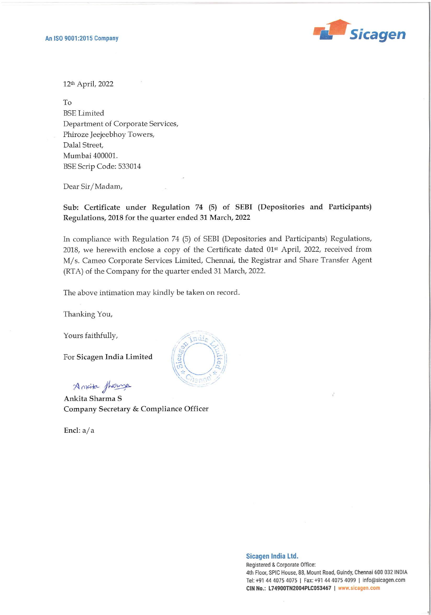

12% April, 2022

To BSE Limited Department of Corporate Services, Phiroze Jeejeebhoy Towers, Dalal Street, Mumbai 400001. BSE Scrip Code: 533014

Dear Sir/Madam,

## Sub: Certificate under Regulation 74 (5) of SEBI (Depositories and Participants) Regulations, 2018 for the quarter ended 31 March, 2022

In compliance with Regulation 74 (5) of SEBI (Depositories and Participants) Regulations, 2018, we herewith enclose a copy of the Certificate dated 01<sup>st</sup> April, 2022, received from M/s. Cameo Corporate Services Limited, Chennai, the Registrar and Share Transfer Agent (RTA) of the Company for the quarter ended 31 March, 2022.

The above intimation may kindly be taken on record.

Thanking You,

Yours faithfully,

For Sicagen India Limited

Aavite fherore —

Ankita Sharma S Company Secretary & Compliance Officer

Encl: a/a



## Sicagen India Ltd.

Registered & Corporate Office: 4th Floor, SPIC House, 88, Mount Road, Guindy, Chennai 600 032 INDIA Tel: +91 44 4075 4075 | Fax: +91 44 4075 4099 | info@sicagen.com CIN No.: L74900TN2004PLC053467 | www.sicagen.com